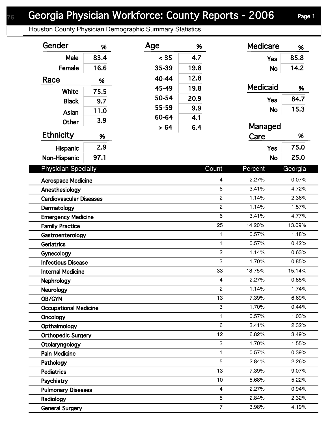Houston County Physician Demographic Summary Statistics

| Gender                                  | %    | Age   | %    |                       | <b>Medicare</b> | %               |  |
|-----------------------------------------|------|-------|------|-----------------------|-----------------|-----------------|--|
| Male                                    | 83.4 | < 35  | 4.7  |                       | <b>Yes</b>      | 85.8            |  |
| Female                                  | 16.6 | 35-39 | 19.8 |                       | <b>No</b>       | 14.2            |  |
| Race                                    | %    | 40-44 | 12.8 |                       |                 |                 |  |
|                                         |      | 45-49 | 19.8 |                       | <b>Medicaid</b> | %               |  |
| White                                   | 75.5 | 50-54 | 20.9 |                       | <b>Yes</b>      | 84.7            |  |
| <b>Black</b>                            | 9.7  | 55-59 | 9.9  |                       | <b>No</b>       | 15.3            |  |
| Asian                                   | 11.0 | 60-64 | 4.1  |                       |                 |                 |  |
| Other                                   | 3.9  | > 64  | 6.4  |                       | Managed         |                 |  |
| <b>Ethnicity</b>                        | %    |       |      |                       | Care            | %               |  |
| Hispanic                                | 2.9  |       |      |                       | <b>Yes</b>      | 75.0            |  |
| Non-Hispanic                            | 97.1 |       |      |                       | <b>No</b>       | 25.0            |  |
|                                         |      |       |      |                       |                 |                 |  |
| <b>Physician Specialty</b>              |      |       |      | Count                 | Percent         | Georgia         |  |
| <b>Aerospace Medicine</b>               |      |       |      | $\overline{4}$        | 2.27%           | 0.07%           |  |
| Anesthesiology                          |      |       |      | $6\phantom{1}$        | 3.41%           | 4.72%           |  |
| <b>Cardiovascular Diseases</b>          |      |       |      | $\overline{2}$        | 1.14%           | 2.36%           |  |
| Dermatology                             |      |       |      | $\overline{2}$        | 1.14%           | 1.57%           |  |
| <b>Emergency Medicine</b>               |      |       |      | $6\phantom{1}6$<br>25 | 3.41%<br>14.20% | 4.77%           |  |
| <b>Family Practice</b>                  |      |       |      | $\mathbf{1}$          | 0.57%           | 13.09%<br>1.18% |  |
| Gastroenterology                        |      |       |      | $\mathbf{1}$          | 0.57%           | 0.42%           |  |
| Geriatrics                              |      |       |      | $\overline{2}$        | 1.14%           | 0.63%           |  |
| Gynecology<br><b>Infectious Disease</b> |      |       |      | 3                     | 1.70%           | 0.85%           |  |
| <b>Internal Medicine</b>                |      |       |      | 33                    | 18.75%          | 15.14%          |  |
| Nephrology                              |      |       |      | $\overline{4}$        | 2.27%           | 0.85%           |  |
| <b>Neurology</b>                        |      |       |      | $\overline{2}$        | 1.14%           | 1.74%           |  |
| OB/GYN                                  |      |       |      | 13                    | 7.39%           | 6.69%           |  |
| <b>Occupational Medicine</b>            |      |       |      | 3                     | 1.70%           | 0.44%           |  |
| <b>Oncology</b>                         |      |       |      | 1                     | 0.57%           | 1.03%           |  |
| Opthalmology                            |      |       |      | $6\phantom{1}$        | 3.41%           | 2.32%           |  |
| <b>Orthopedic Surgery</b>               |      |       |      | 12                    | 6.82%           | 3.49%           |  |
| Otolaryngology                          |      |       |      | 3                     | 1.70%           | 1.55%           |  |
| <b>Pain Medicine</b>                    |      |       |      | 1                     | 0.57%           | 0.39%           |  |
| Pathology                               |      |       |      | 5                     | 2.84%           | 2.26%           |  |
| <b>Pediatrics</b>                       |      |       |      | 13                    | 7.39%           | 9.07%           |  |
| Psychiatry                              |      |       |      | 10                    | 5.68%           | 5.22%           |  |
| <b>Pulmonary Diseases</b>               |      |       |      | $\overline{4}$        | 2.27%           | 0.94%           |  |
| Radiology                               |      |       |      | 5                     | 2.84%           | 2.32%           |  |
| <b>General Surgery</b>                  |      |       |      | $\overline{7}$        | 3.98%           | 4.19%           |  |